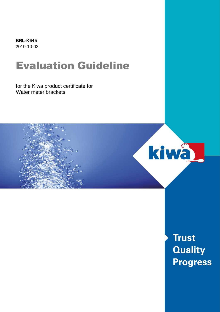**BRL-K645** 2019-10-02

# Evaluation Guideline

for the Kiwa product certificate for Water meter brackets



**Trust Quality Progress**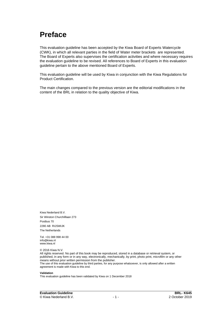## **Preface**

This evaluation guideline has been accepted by the Kiwa Board of Experts Watercycle (CWK), in which all relevant parties in the field of Water meter brackets are represented. The Board of Experts also supervises the certification activities and where necessary requires the evaluation guideline to be revised. All references to Board of Experts in this evaluation guideline pertain to the above mentioned Board of Experts.

This evaluation guideline will be used by Kiwa in conjunction with the Kiwa Regulations for Product Certification.

The main changes compared to the previous version are the editorial modifications in the content of the BRL in relation to the quality objective of Kiwa.

Kiwa Nederland B.V. Sir Winston Churchilllaan 273 Postbus 70 2280 AB RIJSWIJK The Netherlands

Tel. +31 088 998 44 00 info@kiwa.nl www.kiwa.nl

© 2016 Kiwa N.V.

All rights reserved. No part of this book may be reproduced, stored in a database or retrieval system, or published, in any form or in any way, electronically, mechanically, by print, photo print, microfilm or any other means without prior written permission from the publisher. The use of this evaluation guideline by third parties, for any purpose whatsoever, is only allowed after a written agreement is made with Kiwa to this end.

#### **Validation**

This evaluation guideline has been validated by Kiwa on 1 December 2018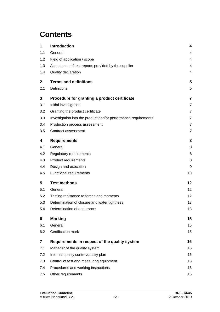## **Contents**

| 1                       | Introduction                                                   | 4                 |
|-------------------------|----------------------------------------------------------------|-------------------|
| 1.1                     | General                                                        | 4                 |
| 1.2                     | Field of application / scope                                   | 4                 |
| 1.3                     | Acceptance of test reports provided by the supplier            | 4                 |
| 1.4                     | Quality declaration                                            | 4                 |
| $\mathbf{2}$            | <b>Terms and definitions</b>                                   | 5                 |
| 2.1                     | Definitions                                                    | 5                 |
| 3                       | Procedure for granting a product certificate                   | 7                 |
| 3.1                     | Initial investigation                                          | $\overline{7}$    |
| 3.2                     | Granting the product certificate                               | $\overline{7}$    |
| 3.3                     | Investigation into the product and/or performance requirements | $\overline{7}$    |
| 3.4                     | Production process assessment                                  | $\overline{7}$    |
| 3.5                     | Contract assessment                                            | $\overline{7}$    |
| 4                       | <b>Requirements</b>                                            | 8                 |
| 4.1                     | General                                                        | 8                 |
| 4.2                     | Regulatory requirements                                        | 8                 |
| 4.3                     | Product requirements                                           | 8                 |
| 4.4                     | Design and execution                                           | 9                 |
| 4.5                     | Functional requirements                                        | 10                |
| 5                       | <b>Test methods</b>                                            | 12                |
| 5.1                     | General                                                        | 12                |
| 5.2                     | Testing resistance to forces and moments                       | $12 \overline{ }$ |
| 5.3                     | Determination of closure and water tightness                   | 13                |
| 5.4                     | Determination of endurance                                     | 13                |
| 6                       | <b>Marking</b>                                                 | 15                |
| 6.1                     | General                                                        | 15                |
| 6.2                     | Certification mark                                             | 15                |
| $\overline{\mathbf{z}}$ | Requirements in respect of the quality system                  | 16                |
| 7.1                     | Manager of the quality system                                  | 16                |
| 7.2                     | Internal quality control/quality plan                          | 16                |
| 7.3                     | Control of test and measuring equipment                        | 16                |
| 7.4                     | Procedures and working instructions                            | 16                |
| 7.5                     | Other requirements                                             | 16                |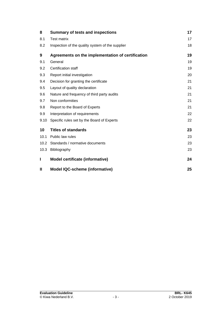| 8    | <b>Summary of tests and inspections</b>           | 17 |
|------|---------------------------------------------------|----|
| 8.1  | <b>Test matrix</b>                                | 17 |
| 8.2  | Inspection of the quality system of the supplier  | 18 |
| 9    | Agreements on the implementation of certification | 19 |
| 9.1  | General                                           | 19 |
| 9.2  | Certification staff                               | 19 |
| 9.3  | Report initial investigation                      | 20 |
| 9.4  | Decision for granting the certificate             | 21 |
| 9.5  | Layout of quality declaration                     | 21 |
| 9.6  | Nature and frequency of third party audits        | 21 |
| 9.7  | Non conformities                                  | 21 |
| 9.8  | Report to the Board of Experts                    | 21 |
| 9.9  | Interpretation of requirements                    | 22 |
| 9.10 | Specific rules set by the Board of Experts        | 22 |
| 10   | <b>Titles of standards</b>                        | 23 |
| 10.1 | Public law rules                                  | 23 |
| 10.2 | Standards / normative documents                   | 23 |
| 10.3 | Bibliography                                      | 23 |
| I    | Model certificate (informative)                   | 24 |
| Ш    | <b>Model IQC-scheme (informative)</b>             | 25 |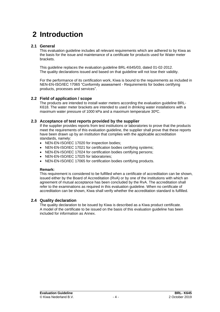## **2 Introduction**

## **2.1 General**

This evaluation guideline includes all relevant requirements which are adhered to by Kiwa as the basis for the issue and maintenance of a certificate for products used for Water meter brackets.

This guideline replaces the evaluation guideline BRL-K645/03, dated 01-02-2012. The quality declarations issued and based on that guideline will not lose their validity.

For the performance of its certification work, Kiwa is bound to the requirements as included in NEN-EN-ISO/IEC 17065 "Conformity assessment - Requirements for bodies certifying products, processes and services".

## **2.2 Field of application / scope**

The products are intended to install water meters according the evaluation guideline BRL-K618. The water meter brackets are intended to used in drinking water installations with a maximum water pressure of 1000 kPa and a maximum temperature 30ºC.

#### **2.3 Acceptance of test reports provided by the supplier**

If the supplier provides reports from test institutions or laboratories to prove that the products meet the requirements of this evaluation quideline, the supplier shall prove that these reports have been drawn up by an institution that complies with the applicable accreditation standards, namely:

- NEN-EN-ISO/IEC 17020 for inspection bodies;
- NEN-EN-ISO/IEC 17021 for certification bodies certifying systems;
- NEN-EN-ISO/IEC 17024 for certification bodies certifying persons;
- NEN-EN-ISO/IEC 17025 for laboratories;
- NEN-EN-ISO/IEC 17065 for certification bodies certifying products.

#### **Remark:**

This requirement is considered to be fulfilled when a certificate of accreditation can be shown, issued either by the Board of Accreditation (RvA) or by one of the institutions with which an agreement of mutual acceptance has been concluded by the RvA. The accreditation shall refer to the examinations as required in this evaluation guideline. When no certificate of accreditation can be shown, Kiwa shall verify whether the accreditation standard is fulfilled.

## **2.4 Quality declaration**

The quality declaration to be issued by Kiwa is described as a Kiwa product certificate. A model of the certificate to be issued on the basis of this evaluation guideline has been included for information as Annex.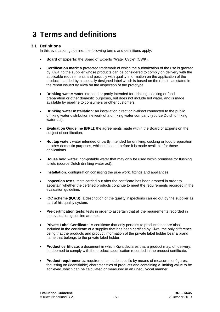## **3 Terms and definitions**

## **3.1 Definitions**

In this evaluation guideline, the following terms and definitions apply:

- **Board of Experts**: the Board of Experts "Water Cycle" (CWK).
- **Certification mark**: a protected trademark of which the authorization of the use is granted by Kiwa, to the supplier whose products can be considered to comply on delivery with the applicable requirements and possibly with quality information on the application of the product is added by a specially designed label which is based on the result , as stated in the report issued by Kiwa on the inspection of the prototype
- **Drinking water:** water intended or partly intended for drinking, cooking or food preparation or other domestic purposes, but does not include hot water, and is made available by pipeline to consumers or other customers.
- **Drinking water installation:** an installation direct or in-direct connected to the public drinking water distribution network of a drinking water company (source Dutch drinking water act);
- **Evaluation Guideline (BRL)**: the agreements made within the Board of Experts on the subject of certification.
- **Hot tap water:** water intended or partly intended for drinking, cooking or food preparation or other domestic purposes, which is heated before it is made available for those applications.
- **House hold water:** non-potable water that may only be used within premises for flushing toilets (source Dutch drinking water act);
- **Installation:** configuration consisting the pipe work, fittings and appliances;
- **Inspection tests**: tests carried out after the certificate has been granted in order to ascertain whether the certified products continue to meet the requirements recorded in the evaluation guideline.
- **IQC scheme (IQCS):** a description of the quality inspections carried out by the supplier as part of his quality system.
- **Pre-certification tests**: tests in order to ascertain that all the requirements recorded in the evaluation guideline are met.
- **Private Label Certificate:** A certificate that only pertains to products that are also included in the certificate of a supplier that has been certified by Kiwa, the only difference being that the products and product information of the private label holder bear a brand name that belongs to the private label holder.
- **Product certificate**: a document in which Kiwa declares that a product may, on delivery, be deemed to comply with the product specification recorded in the product certificate.
- **Product requirements**: requirements made specific by means of measures or figures, focussing on (identifiable) characteristics of products and containing a limiting value to be achieved, which can be calculated or measured in an unequivocal manner.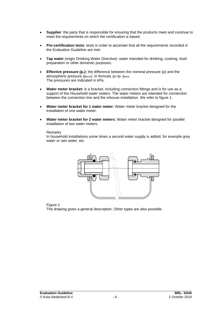- **Supplier**: the party that is responsible for ensuring that the products meet and continue to meet the requirements on which the certification is based.
- **Pre-certification tests**: tests in order to ascertain that all the requirements recorded in the Evaluation Guideline are met.
- **Tap water** (origin Drinking Water Directive): water intended for drinking, cooking, food preparation or other domestic purposes.
- **Effective pressure (p**e**):** the difference between the nominal pressure (p) and the atmospheric pressure (pamb). In formula: pe=p- pamb. The pressures are indicated in kPa.
- **Water meter bracket:** is a bracket, including connection fittings and is for use as a support of the Household water meters. The water meters are intended for connection between the connection line and the inhouse installation. We refer to figure 1.
- **Water meter bracket for 1 water meter:** Water meter bracket designed for the installation of one water meter.
- **Water meter bracket for 2 water meters**: Water meter bracket designed for parallel installation of two water meters.

#### Remarks

In household installations some times a second water supply is added, for example grey water or rain water, etc.



Figure 1

The drawing gives a general description. Other types are also possible.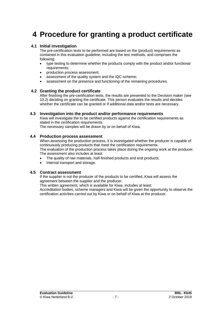## **4 Procedure for granting a product certificate**

#### **4.1 Initial investigation**

The pre-certification tests to be performed are based on the (product) requirements as contained in this evaluation guideline, including the test methods, and comprises the following:

- type testing to determine whether the products comply with the product and/or functional requirements;
- production process assessment;
- assessment of the quality system and the IQC-scheme:
- assessment on the presence and functioning of the remaining procedures.

#### **4.2 Granting the product certificate**

After finishing the pre-certification tests, the results are presented to the Decision maker (see [10.2\)](#page-19-0) deciding on granting the certificate. This person evaluates the results and decides whether the certificate can be granted or if additional data and/or tests are necessary.

#### **4.3 Investigation into the product and/or performance requirements**

Kiwa will investigate the to be certified products against the certification requirements as stated in the certification requirements.

The necessary samples will be drawn by or on behalf of Kiwa.

#### **4.4 Production process assessment**

When assessing the production process, it is investigated whether the producer is capable of continuously producing products that meet the certification requirements. The evaluation of the production process takes place during the ongoing work at the producer.

- The assessment also includes at least:
- The quality of raw materials, half-finished products and end products;
- Internal transport and storage.

#### **4.5 Contract assessment**

If the supplier is not the producer of the products to be certified, Kiwa will assess the agreement between the supplier and the producer.

This written agreement, which is available for Kiwa, includes at least:

Accreditation bodies, scheme managers and Kiwa will be given the opportunity to observe the certification activities carried out by Kiwa or on behalf of Kiwa at the producer.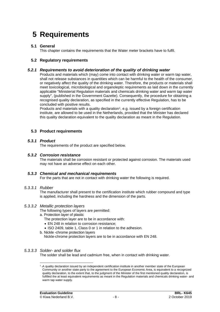## **5 Requirements**

## **5.1 General**

This chapter contains the requirements that the Water meter brackets have to fulfil.

## **5.2 Regulatory requirements**

### *5.2.1 Requirements to avoid deterioration of the quality of drinking water*

Products and materials which (may) come into contact with drinking water or warm tap water, shall not release substances in quantities which can be harmful to the health of the consumer, or negatively affect the quality of the drinking water. Therefore, the products or materials shall meet toxicological, microbiological and organoleptic requirements as laid down in the currently applicable "Ministerial Regulation materials and chemicals drinking water and warm tap water supply", (published in the Government Gazette). Consequently, the procedure for obtaining a recognised quality declaration, as specified in the currently effective Regulation, has to be concluded with positive results.

Products and materials with a quality declaration<sup>1</sup>, e.g. issued by a foreign certification institute, are allowed to be used in the Netherlands, provided that the Minister has declared this quality declaration equivalent to the quality declaration as meant in the Regulation.

## **5.3 Product requirements**

#### *5.3.1 Product*

<span id="page-8-0"></span>The requirements of the product are specified below*.*

## *5.3.2 Corrosion resistance*

<span id="page-8-1"></span>The materials shall be corrosion resistant or protected against corrosion. The materials used may not have an adverse effect on each other.

#### *5.3.3 Chemical and mechanical requirements*

For the parts that are not in contact with drinking water the following is required.

#### *5.3.3.1 Rubber*

The manufacturer shall present to the certification institute which rubber compound and type is applied, including the hardness and the dimension of the parts.

#### *5.3.3.2 Metallic protection layers*

The following types of layers are permitted:

- a. Protection layer of plastic
	- The protection layer are to be in accordance with:
	- EN 248 in relation to corrosion resistance:
	- ISO 2409, table 1, Class 0 or 1 in relation to the adhesion.
- b. Nickle -chrome protection layers

Nickle-chrome protection layers are to be in accordance with EN 248.

## *5.3.3.3 Solder- and solder flux*

The solder shall be lead and cadmium free, when in contact with drinking water.

<sup>&</sup>lt;sup>1</sup> - A quality declaration issued by an independent certification institute in another member state of the European Community or another state party to the agreement to the European Economic Area, is equivalent to a recognized quality declaration, to the extent that, to the judgment of the Minister of the first mentioned quality declaration, is fulfilled the at least equivalent requirements as meant in the Regulation materials and chemicals drinking water- and warm tap water supply.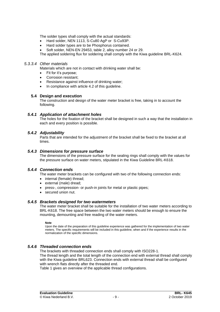The solder types shall comply with the actual standards:

- Hard solder, NEN 1113, S-Cu80 AgP or S-Cu93P.
- Hard solder types are to be Phosphorus contained.
- Soft solder, NEN-EN 29453, table 2, alloy number 24 or 29.

The applied soldering flux for soldering shall comply with the Kiwa guideline BRL-K624.

#### *5.3.3.4 Other materials*

Materials which are not in contact with drinking water shall be:

- Fit for it's purpose:
- Corrosion resistant;
- Resistance against influence of drinking water;
- In compliance with article 4.2 of this guideline.

#### **5.4 Design and execution**

<span id="page-9-0"></span>The construction and design of the water meter bracket is free, taking in to account the following.

#### *5.4.1 Application of attachment holes*

<span id="page-9-1"></span>The holes for the fixation of the bracket shall be designed in such a way that the installation in each and every position is possible.

## *5.4.2 Adjustability*

<span id="page-9-2"></span>Parts that are intended for the adjustment of the bracket shall be fixed to the bracket at all times.

#### *5.4.3 Dimensions for pressure surface*

<span id="page-9-3"></span>The dimensions of the pressure surface for the sealing rings shall comply with the values for the pressure surface on water meters, stipulated in the Kiwa Guideline BRL-K618.

## *5.4.4 Connection ends*

The water meter brackets can be configured with two of the following connection ends:

- internal (female) thread;
- external (male) dread;
- press-, compression- or push-in joints for metal or plastic pipes;
- <span id="page-9-4"></span>• secured union nut.

#### *5.4.5 Brackets designed for two watermeters*

The water meter bracket shall be suitable for the installation of two water meters according to BRL-K618. The free space between the two water meters should be enough to ensure the mounting, demounting and free reading of the water meters.

**Note** 

Upon the date of the preparation of this guideline experience was gathered for the implementation of two water meters. The specific requirements will be included in this guideline, when and if the experience results in the normalization of the specific dimensions.

## *5.4.6 Threaded connection ends*

<span id="page-9-5"></span>The brackets with threaded connection ends shall comply with ISO228-1.

The thread length and the total length of the connection end with external thread shall comply with the Kiwa guideline BRL623. Connection ends with external thread shall be configured with wrench flats directly after the threaded end.

Table 1 gives an overview of the applicable thread configurations.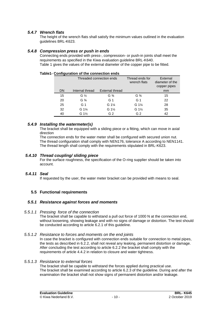## *5.4.7 Wrench flats*

<span id="page-10-1"></span><span id="page-10-0"></span>The height of the wrench flats shall satisfy the minimum values outlined in the evaluation guidelines BRL-K623.

#### *5.4.8 Compression press or push in ends*

Connecting ends provided with press-, compression- or push-in joints shall meet the requirements as specified in the Kiwa evaluation guideline BRL-K640. Table 1 gives the values of the external diameter of the copper pipe to be fitted.

#### **Table1- Configuration of the connection ends**

|    | Threaded connection ends |                        | Thread ends for<br>wrench flats | External<br>diameter of the<br>copper pipes |
|----|--------------------------|------------------------|---------------------------------|---------------------------------------------|
| DN | Internal thread          | <b>External thread</b> |                                 | <sub>mm</sub>                               |
| 15 | G $\frac{1}{2}$          | $G\frac{3}{4}$         | $G\frac{3}{4}$                  | 15                                          |
| 20 | $G\frac{3}{4}$           | G 1                    | G <sub>1</sub>                  | 22                                          |
| 25 | G <sub>1</sub>           | $G_1\frac{1}{4}$       | $G_1\frac{1}{4}$                | 28                                          |
| 32 | G $1\frac{1}{4}$         | $G_1\frac{1}{2}$       | $G_1\frac{1}{2}$                | 35                                          |
| 40 | G 1½                     | G <sub>2</sub>         | G <sub>2</sub>                  | 42                                          |

#### *5.4.9 Installing the watermeter(s)*

<span id="page-10-2"></span>The bracket shall be equipped with a sliding piece or a fitting, which can move in axial direction

The connection ends for the water meter shall be configured with secured union nut. The thread configuration shall comply with NEN176, tolerance A according to NEN1141. The thread length shall comply with the requirements stipulated in BRL-K623.

#### *5.4.10 Thread coupling/ sliding piece*

<span id="page-10-4"></span><span id="page-10-3"></span>For the surface roughness, the specification of the O-ring supplier should be taken into account.

## *5.4.11 Seal*

If requested by the user, the water meter bracket can be provided with means to seal.

## <span id="page-10-5"></span>**5.5 Functional requirements**

## *5.5.1 Resistance against forces and moments*

*5.5.1.1 Pressing force of the connection*

The bracket shall be capable to withstand a pull out force of 1000 N at the connection end, without loosening, showing leakage and with no signs of damage or distortion. The test should be conducted according to article 6.2.1 of this guideline.

#### *5.5.1.2 Resistance to forces and moments on the end joints*

In case the bracket is configured with connection ends suitable for connection to metal pipes, the tests as described in 6.2.2, shall not reveal any leaking, permanent distortion or damage. After concluding the test according to article 6.2.2 the bracket shall comply with the requirements of article 4.4.2 in relation to closure and water tightness.

#### *5.5.1.3 Resistance to external forces*

The bracket shall be capable to withstand the forces applied during practical use. The bracket shall be examined according to article 6.2.3 of the guideline. During and after the examination the bracket shall not show signs of permanent distortion and/or leakage.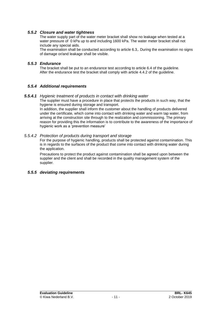## *5.5.2 Closure and water tightness*

<span id="page-11-0"></span>The water supply part of the water meter bracket shall show no leakage when tested at a water pressure of 0 kPa up to and including 1600 kPa. The water meter bracket shall not include any special aids.

<span id="page-11-1"></span>The examination shall be conducted according to article 6.3,. During the examination no signs of damage or/and leakage shall be visible.

## *5.5.3 Endurance*

The bracket shall be put to an endurance test according to article 6.4 of the guideline. After the endurance test the bracket shall comply with article 4.4.2 of the guideline.

## *5.5.4 Additional requirements*

## *5.5.4.1 Hygienic treatment of products in contact with drinking water*

The supplier must have a procedure in place that protects the products in such way, that the hygiene is ensured during storage and transport.

In addition, the supplier shall inform the customer about the handling of products delivered under the certificate, which come into contact with drinking water and warm tap water, from arriving at the construction site through to the realization and commissioning. The primary reason for providing this the information is to contribute to the awareness of the importance of hygienic work as a 'prevention measure'

#### *5.5.4.2 Protection of products during transport and storage*

For the purpose of hygienic handling, products shall be protected against contamination. This is in regards to the surfaces of the product that come into contact with drinking water during the application.

Precautions to protect the product against contamination shall be agreed upon between the supplier and the client and shall be recorded in the quality management system of the supplier.

## *5.5.5 deviating requirements*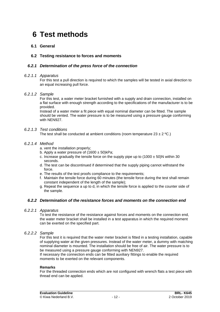## **6 Test methods**

## **6.1 General**

## **6.2 Testing resistance to forces and moments**

## *6.2.1 Determination of the press force of the connection*

#### *6.2.1.1 Apparatus*

For this test a pull direction is required to which the samples will be tested in axial direction to an equal increasing pull force.

#### *6.2.1.2 Sample*

For this test, a water meter bracket furnished with a supply and drain connection, installed on a flat surface with enough strength according to the specifications of the manufacturer is to be provided.

Instead of a water meter a fit piece with equal nominal diameter can be fitted. The sample should be vented. The water pressure is to be measured using a pressure gauge conforming with NEN927.

#### *6.2.1.3 Test conditions*

The test shall be conducted at ambient conditions (room temperature  $23 \pm 2 \degree C$ .)

#### *6.2.1.4 Method*

- a. vent the installation properly;
- b. Apply a water pressure of  $(1600 \pm 50)$ kPa;
- c. Increase gradually the tensile force on the supply pipe up to  $(1000 \pm 50)$ N within 30 seconds.
- d. The test can be discontinued if determined that the supply piping cannot withstand the force.
- e. The results of the test proofs compliance to the requirements:
- f. Maintain the tensile force during 60 minutes (the tensile force during the test shall remain constant independent of the length of the sample);
- g. Repeat the sequence a up to d, in which the tensile force is applied to the counter side of the sample.

## *6.2.2 Determination of the resistance forces and moments on the connection end*

#### *6.2.2.1 Apparatus*

To test the resistance of the resistance against forces and moments on the connection end, the water meter bracket shall be installed in a test apparatus in which the required moment can be exerted on the specified part.

#### *6.2.2.2 Sample*

For this test it is required that the water meter bracket is fitted in a testing installation, capable of supplying water at the given pressures. Instead of the water meter, a dummy with matching nominal diameter is mounted. The installation should be free of air. The water pressure is to be measured using a pressure gauge conforming with NEN927.

If necessary the connection ends can be fitted auxiliary fittings to enable the required moments to be exerted on the relevant components.

#### **Remarks**

For the threaded connection ends which are not configured with wrench flats a test piece with thread end can be applied.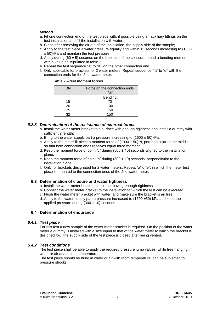#### *Method*

- a. Fit one connection end of the test piece with, if possible using an auxiliary fittings on the test installation and fill the installation with water;
- b. Close after removing the air out of the installation, the supply side of the sample;
- c. Apply to the test piece a water pressure equally and within 15 seconds increasing to (1600 ± 50)kPa and maintain the test pressure;
- d. Apply during (60  $\pm$  5) seconds on the free side of the connection end a bending moment with a value as stipulated in table 2;
- e. Repeat the test sequence "a" to "d", on the other connection end
- f. Only applicable for brackets for 2 water meters. Repeat sequence "a" to "e" with the connection ends for the 2nd water meter.

| DΝ | Force on the connection ends<br>(Mm) |  |
|----|--------------------------------------|--|
|    | Bending                              |  |
| 15 | 70                                   |  |
| 20 | 100                                  |  |
| 25 | 150                                  |  |
| 32 | 150                                  |  |

## *6.2.3 Determination of the resistance of external forces*

- a. Install the water meter bracket to a surface with enough rigidness and install a dummy with sufficient strength:
- b. Bring to the water supply part a pressure increasing to  $(1600 \pm 50)$  kPa;
- c. Apply to the meter fit piece a moment force of  $(1000 \pm 50)$  N, perpendicular to the middle, so that both connection ends receives equal force moment;
- d. Keep the moment force of point "c" during  $(300 \pm 10)$  seconds aligned to the installation plane;
- e. Keep the moment force of point "c" during  $(300 \pm 10)$  seconds perpendicular to the installation plane
- f. Only for brackets designated for 2 water meters. Repeat "a"to "e", in which the meter test piece is mounted to the connection ends of the 2nd water meter.

## **6.3 Determination of closure and water tightness**

- a. Install the water meter bracket to a plane, having enough rigidness.
- b. Connect the water meter bracket to the installation for which the test can be executed.
- c. Flush the water meter bracket with water, and make sure the bracket is air free
- d. Apply to the water supply part a pressure increased to (1600 ±50) kPa and keep the applied pressure during  $(300 \pm 10)$  seconds.

## **6.4 Determination of endurance**

## *6.4.1 Test piece*

For this test a new sample of the water meter bracket is required. On the position of the water meter a dummy is installed with a size equal to that of the water meter to which the bracket is designed for. The supply side of the test piece is closed after being vented.

## *6.4.2 Test conditions*

The test piece shall be able to apply the required pressure jump values, while free hanging in water or air at ambient temperature.

The test piece should be hung in water or air with room temperature, can be subjected to pressure shocks.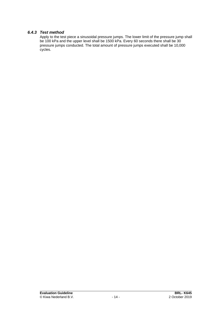## *6.4.3 Test method*

Apply to the test piece a sinusoidal pressure jumps. The lower limit of the pressure jump shall be 100 kPa and the upper level shall be 1500 kPa. Every 60 seconds there shall be 30 pressure jumps conducted. The total amount of pressure jumps executed shall be 10,000 cycles.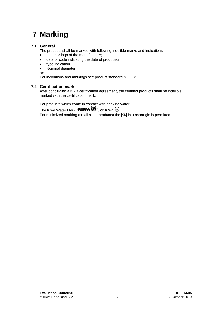## **7 Marking**

## **7.1 General**

The products shall be marked with following indelible marks and indications:

- name or logo of the manufacturer;
- data or code indicating the date of production;
- type indication.
- Nominal diameter

or:

For indications and markings see product standard <…….>

## **7.2 Certification mark**

After concluding a Kiwa certification agreement, the certified products shall be indelible marked with the certification mark:

For products which come in contact with drinking water:

The Kiwa Water Mark "KIWA  $\mathcal{F}$ ", or Kiwa  $\mathcal{I}$ . KIWA

For minimized marking (small sized products) the KK in a rectangle is permitted.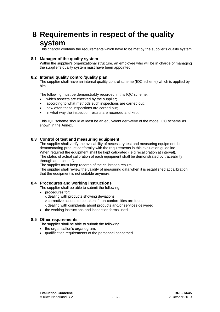## **8 Requirements in respect of the quality system**

This chapter contains the requirements which have to be met by the supplier's quality system.

### **8.1 Manager of the quality system**

Within the supplier's organizational structure, an employee who will be in charge of managing the supplier's quality system must have been appointed.

#### **8.2 Internal quality control/quality plan**

The supplier shall have an internal quality control scheme (IQC scheme) which is applied by him.

The following must be demonstrably recorded in this IQC scheme:

- which aspects are checked by the supplier;
- according to what methods such inspections are carried out;
- how often these inspections are carried out;
- in what way the inspection results are recorded and kept.

This IQC scheme should at least be an equivalent derivative of the model IQC scheme as shown in the Annex.

#### **8.3 Control of test and measuring equipment**

The supplier shall verify the availability of necessary test and measuring equipment for demonstrating product conformity with the requirements in this evaluation guideline. When required the equipment shall be kept calibrated ( e.g recalibration at interval). The status of actual calibration of each equipment shall be demonstrated by traceability through an unique ID.

The supplier must keep records of the calibration results.

The supplier shall review the validity of measuring data when it is established at calibration that the equipment is not suitable anymore.

#### **8.4 Procedures and working instructions**

The supplier shall be able to submit the following:

- procedures for:
	- $\circ$  dealing with products showing deviations;
	- ocorrective actions to be taken if non-conformities are found;
	- odealing with complaints about products and/or services delivered;
- the working instructions and inspection forms used.

#### **8.5 Other requirements**

The supplier shall be able to submit the following:

- the organisation's organogram;
- qualification requirements of the personnel concerned.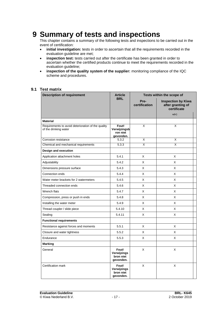## **9 Summary of tests and inspections**

This chapter contains a summary of the following tests and inspections to be carried out in the event of certification:

- **initial investigation:** tests in order to ascertain that all the requirements recorded in the evaluation guideline are met;
- **inspection test:** tests carried out after the certificate has been granted in order to ascertain whether the certified products continue to meet the requirements recorded in the evaluation guideline;
- **inspection of the quality system of the supplier:** monitoring compliance of the IQC scheme and procedures.

#### **9.1 Test matrix**

| <b>Description of requirement</b>                                           | <b>Article</b>                                 | Tests within the scope of |                                                               |  |
|-----------------------------------------------------------------------------|------------------------------------------------|---------------------------|---------------------------------------------------------------|--|
|                                                                             | <b>BRL</b>                                     | Pre-<br>certification     | <b>Inspection by Kiwa</b><br>after granting of<br>certificate |  |
|                                                                             |                                                |                           | a,b)                                                          |  |
| <b>Material</b>                                                             |                                                |                           |                                                               |  |
| Requirements to avoid deterioration of the quality<br>of the drinking water | Fout!<br>Verwijzingsb<br>ron niet<br>gevonden. | X                         | X                                                             |  |
| Corrosion resistance                                                        | 5.3.2                                          | X                         | X                                                             |  |
| Chemical and mechanical requirements                                        | 5.3.3                                          | X                         | X                                                             |  |
| Design and execution                                                        |                                                |                           |                                                               |  |
| Application attachment holes                                                | 5.4.1                                          | X                         | X                                                             |  |
| Adjustability                                                               | 5.4.2                                          | X                         | X                                                             |  |
| Dimensions pressure surface                                                 | 5.4.3                                          | X                         | X                                                             |  |
| Connection ends                                                             | 5.4.4                                          | X                         | X                                                             |  |
| Water meter brackets for 2 watermeters                                      | 5.4.5                                          | X                         | X                                                             |  |
| Threaded connection ends                                                    | 5.4.6                                          | X                         | Χ                                                             |  |
| Wrench flats                                                                | 5.4.7                                          | X                         | X                                                             |  |
| Compression, press or push in ends                                          | 5.4.8                                          | X                         | Χ                                                             |  |
| Installing the water meter                                                  | 5.4.9                                          | X                         | X                                                             |  |
| Thread coupler / slide piece                                                | 5.4.10                                         | X                         | X                                                             |  |
| Sealing                                                                     | 5.4.11                                         | X                         | X                                                             |  |
| <b>Functional requirements</b>                                              |                                                |                           |                                                               |  |
| Resistance against forces and moments                                       | 5.5.1                                          | X                         | X                                                             |  |
| Closure and water tightness                                                 | 5.5.2                                          | X                         | X                                                             |  |
| Endurance                                                                   | 5.5.3                                          | X                         | X                                                             |  |
| Marking                                                                     |                                                |                           |                                                               |  |
| General                                                                     | Fout!<br>Verwijzings<br>bron niet<br>gevonden. | X                         | X                                                             |  |
| Certification mark                                                          | Fout!<br>Verwijzings<br>bron niet<br>gevonden. | X                         | X                                                             |  |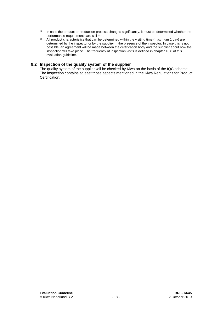- a) In case the product or production process changes significantly, it must be determined whether the performance requirements are still met.
- b) All product characteristics that can be determined within the visiting time (maximum 1 day) are determined by the inspector or by the supplier in the presence of the inspector. In case this is not possible, an agreement will be made between the certification body and the supplier about how the inspection will take place. The frequency of inspection visits is defined in chapter [10.6](#page-21-0) of this evaluation guideline.

### **9.2 Inspection of the quality system of the supplier**

The quality system of the supplier will be checked by Kiwa on the basis of the IQC scheme. The inspection contains at least those aspects mentioned in the Kiwa Regulations for Product Certification.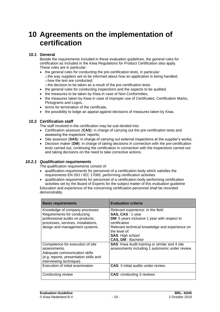## **10 Agreements on the implementation of certification**

## **10.1 General**

Beside the requirements included in these evaluation guidelines, the general rules for certification as included in the Kiwa Regulations for Product Certification also apply. These rules are in particular:

- the general rules for conducting the pre-certification tests, in particular: othe way suppliers are to be informed about how an application is being handled; ohow the test are conducted;
- othe decision to be taken as a result of the pre-certification tests.
- the general rules for conducting inspections and the aspects to be audited,
- the measures to be taken by Kiwa in case of Non-Conformities,
- the measures taken by Kiwa in case of improper use of Certificates, Certification Marks, Pictograms and Logos,
- terms for termination of the certificate,
- <span id="page-19-0"></span>• the possibility to lodge an appeal against decisions of measures taken by Kiwa.

## **10.2 Certification staff**

The staff involved in the certification may be sub-divided into:

- Certification assessor (**CAS**): in charge of carrying out the pre-certification tests and assessing the inspectors' reports;
- Site assessor (**SAS**): in charge of carrying out external inspections at the supplier's works;
- Decision maker (**DM**): in charge of taking decisions in connection with the pre-certification tests carried out, continuing the certification in connection with the inspections carried out and taking decisions on the need to take corrective actions.

## *10.2.1 Qualification requirements*

The qualification requirements consist of:

• qualification requirements for personnel of a certification body which satisfies the requirements EN ISO / IEC 17065, performing certification activities

• qualification requirements for personnel of a certification body performing certification activities set by the Board of Experts for the subject matter of this evaluation guideline Education and experience of the concerning certification personnel shall be recorded demonstrably.

| <b>Basic requirements</b>                                               | <b>Evaluation criteria</b>                                                                               |
|-------------------------------------------------------------------------|----------------------------------------------------------------------------------------------------------|
| Knowledge of company processes<br>Requirements for conducting           | Relevant experience: in the field<br>SAS, CAS: 1 year                                                    |
| professional audits on products,<br>processes, services, installations, | DM: 5 years inclusive 1 year with respect to<br>certification                                            |
| design and management systems.                                          | Relevant technical knowledge and experience on<br>the level of:                                          |
|                                                                         | <b>SAS: High school</b><br><b>CAS, DM: Bachelor</b>                                                      |
| Competence for execution of site<br>assessments.                        | <b>SAS:</b> Kiwa Audit training or similar and 4 site<br>assessments including 1 autonomic under review. |
| Adequate communication skills<br>(e.g. reports, presentation skills and |                                                                                                          |
| interviewing technique).                                                |                                                                                                          |
| Execution of initial examination                                        | <b>CAS:</b> 3 initial audits under review.                                                               |
| Conducting review                                                       | <b>CAS: conducting 3 reviews</b>                                                                         |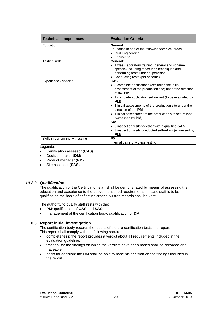| <b>Technical competences</b>    | <b>Evaluation Criteria</b>                                                                                                                                                                                                                                                                                                                                                                                                                                                                                                          |
|---------------------------------|-------------------------------------------------------------------------------------------------------------------------------------------------------------------------------------------------------------------------------------------------------------------------------------------------------------------------------------------------------------------------------------------------------------------------------------------------------------------------------------------------------------------------------------|
| Education                       | General:<br>Education in one of the following technical areas:<br>• Civil Enginereing;<br>• Enginering.                                                                                                                                                                                                                                                                                                                                                                                                                             |
| Testing skills                  | General:<br>• 1 week laboratory training (general and scheme<br>specific) including measuring techniques and<br>performing tests under supervision;<br>• Conducting tests (per scheme).                                                                                                                                                                                                                                                                                                                                             |
| Experience - specific           | <b>CAS</b><br>• 3 complete applications (excluding the initial<br>assessment of the production site) under the direction<br>of the PM<br>• 1 complete application self-reliant (to be evaluated by<br>PM)<br>• 3 initial assessments of the production site under the<br>direction of the PM<br>• 1 initial assessment of the production site self-reliant<br>(witnessed by $PM$ )<br><b>SAS</b><br>• 5 inspection visits together with a qualified <b>SAS</b><br>• 3 inspection visits conducted self-reliant (witnessed by<br>PM) |
| Skills in performing witnessing | <b>PM</b><br>Internal training witness testing                                                                                                                                                                                                                                                                                                                                                                                                                                                                                      |

Legenda:

- Certification assessor (**CAS**)
- Decision maker (**DM**)
- Product manager (**PM**)
- Site assessor (**SAS**)

## *10.2.2 Qualification*

The qualification of the Certification staff shall be demonstrated by means of assessing the education and experience to the above mentioned requirements. In case staff is to be qualified on the basis of deflecting criteria, written records shall be kept.

The authority to qualify staff rests with the:

- **PM**: qualification of **CAS** and **SAS**;
- management of the certification body: qualification of **DM**.

## **10.3 Report initial investigation**

The certification body records the results of the pre-certification tests in a report. This report shall comply with the following requirements:

- completeness: the report provides a verdict about all requirements included in the evaluation guideline;
- traceability: the findings on which the verdicts have been based shall be recorded and traceable;
- basis for decision: the **DM** shall be able to base his decision on the findings included in the report.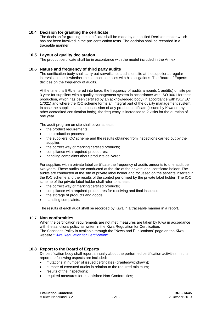## **10.4 Decision for granting the certificate**

The decision for granting the certificate shall be made by a qualified Decision maker which has not been involved in the pre-certification tests. The decision shall be recorded in a traceable manner.

#### **10.5 Layout of quality declaration**

<span id="page-21-0"></span>The product certificate shall be in accordance with the model included in the Annex.

#### **10.6 Nature and frequency of third party audits**

The certification body shall carry out surveillance audits on site at the supplier at regular intervals to check whether the supplier complies with his obligations. The Board of Experts decides on the frequency of audits.

At the time this BRL entered into force, the frequency of audits amounts 1 audit(s) on site per 3 year for suppliers with a quality management system in accordance with ISO 9001 for their production, which has been certified by an acknowledged body (in accordance with ISO/IEC 17021) and where the IQC scheme forms an integral part of the quality management system. In case the supplier is not in possession of any product certificate (issued by Kiwa or any other accredited certification body), the frequency is increased to 2 visits for the duration of one year.

The audit program on site shall cover at least:

- the product requirements;
- the production process;
- the suppliers IQC scheme and the results obtained from inspections carried out by the supplier;
- the correct way of marking certified products;
- compliance with required procedures;
- handling complaints about products delivered.

For suppliers with a private label certificate the frequency of audits amounts to one audit per two years. These audits are conducted at the site of the private label certificate holder. The audits are conducted at the site of private label holder and focussed on the aspects inserted in the IQC scheme and the results of the control performed by the private label holder. The IQC scheme of the private label holder shall refer to at least:

- the correct way of marking certified products;
- compliance with required procedures for receiving and final inspection;
- the storage of products and goods:
- handling complaints.

The results of each audit shall be recorded by Kiwa in a traceable manner in a report.

#### **10.7 Non conformities**

When the certification requirements are not met, measures are taken by Kiwa in accordance with the sanctions policy as writen in the Kiwa Regulation for Certification. The Sanctions Policy is available through the "News and Publications" page on the Kiwa website ["Kiwa Regulation for Certification".](https://www.kiwa.nl/uploadedFiles/Nieuws_en_publicaties/Kiwa%20Regulation%20for%20Certification.pdf)

#### **10.8 Report to the Board of Experts**

De certification body shall report annually about the performed certification activities. In this report the following aspects are included:

- mutations in number of issued certificates (granted/withdrawn);
- number of executed audits in relation to the required minimum;
- results of the inspections:
- required measures for established Non-Conformities;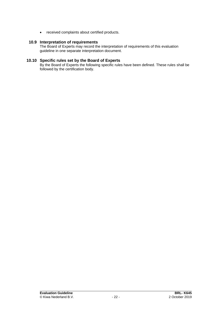• received complaints about certified products.

### **10.9 Interpretation of requirements**

The Board of Experts may record the interpretation of requirements of this evaluation guideline in one separate interpretation document.

## **10.10 Specific rules set by the Board of Experts**

By the Board of Experts the following specific rules have been defined. These rules shall be followed by the certification body.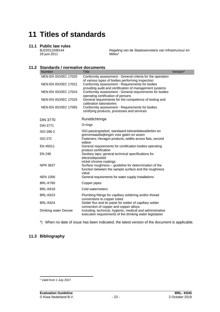## **11 Titles of standards**

#### **11.1 Public law rules**

BJZ2011048144 29 juni 2011

Regeling van de Staatssecretaris van Infrastructuur en Milieu<sup>1</sup>

## **11.2 Standards / normative documents**

| <b>Number</b>         | <b>Title</b>                                                                                                             | Version* |
|-----------------------|--------------------------------------------------------------------------------------------------------------------------|----------|
| NEN-EN ISO/IEC 17020  | Conformity assessment - General criteria for the operation<br>of various types of bodies performing inspection           |          |
| NEN-EN ISO/IEC 17021  | Conformity assessment - Requirements for bodies<br>providing audit and certification of management systems               |          |
| NEN-EN ISO/IEC 17024  | Conformity assessment - General requirements for bodies<br>operating certification of persons                            |          |
| NEN-EN ISO/IEC 17025  | General requirements for the competence of testing and<br>calibration laboratories                                       |          |
| NEN-EN ISO/IEC 17065  | Conformity assessment - Requirements for bodies<br>certifying products, processes and services                           |          |
| <b>DIN 3770</b>       | Runddichtringe                                                                                                           |          |
| <b>DIN 3771</b>       | O-rings                                                                                                                  |          |
| ISO 286-2             | ISO-passingstelsel, standaard tolerantiekwaliteiten en<br>grensmaatafwijkingen voor gaten en assen                       |          |
| <b>ISO 272</b>        | Fasteners; Hexagon products, widths across flats, second<br>edition                                                      |          |
| EN 45011              | General requirements for certification bodies operating<br>product certification                                         |          |
| <b>EN 248</b>         | Sanitary taps: general technical specifications for<br>electrodeposited<br>nickel chrome coatings                        |          |
| <b>NPR 3637</b>       | Surface roughness - guideline for determination of the<br>function between the sample surface and the roughness<br>value |          |
| <b>NEN 1006</b>       | General requirements for water supply installations                                                                      |          |
| <b>BRL-K760</b>       | Copper pipes                                                                                                             |          |
| <b>BRL-K618</b>       | Cold watermeters                                                                                                         |          |
| <b>BRL-K623</b>       | Plumbing fittings for capillary soldering and/or thread<br>connections to copper tubes                                   |          |
| <b>BRL-K624</b>       | Solder flux and tin paste for solder of capillary solder<br>connection of copper and copper alloys.                      |          |
| Drinking water Decree | Including, technical, hygienic, medical and administrative<br>execution requirements of the drinking water legislation   |          |

\*) When no date of issue has been indicated, the latest version of the document is applicable.

## **11.3 Bibliography**

<sup>&</sup>lt;sup>1</sup> Valid from 1 July 2017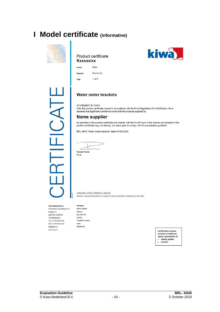## **I Model certificate (informative)**



#### Product certificate **Kxxxxx/xx**



┸ J<br>S<br>J Replaces Page

## **Water meter brackets**

STATEMENT BY KIWA

With this product certificate, issued in accordance with the Kiwa Regulations for Certification, Kiwa declares that legitimate confidence exists that the products supplied by

## **Name supplier**

as specified in this product certificate and marked with the Kiwa®-mark in the manner as indicated in this product certificate may, on delivery, be relied upon to comply with Kiwa evaluation guideline

BRL-K645 "Water meter brackets" dated 15.09.2024

Ronald Karel

Kiwa

Publication of this certificate is allowed. Advice: consult www.kiwa.nl in order to ensure that this certificate is still valid.

#### Kiwa Nederland B.V.

Sir Winston Churchilllaan 273 Postbus 70 2280 AB RIJSWIJK The Netherlands Tel. +31 88 998 44 00 Fax +31 88 998 44 20 info@kiwa.nl www.kiwa.nl

| Company                 |
|-------------------------|
| Name supplier           |
| <b>Address</b>          |
| <b>Zip code City</b>    |
| Country                 |
| <b>Telephone number</b> |
| email                   |
| internet site           |
|                         |

**Certification process** consists of initial and regular assessment of: quality system  $\bullet$  $\ddot{\phantom{0}}$ product